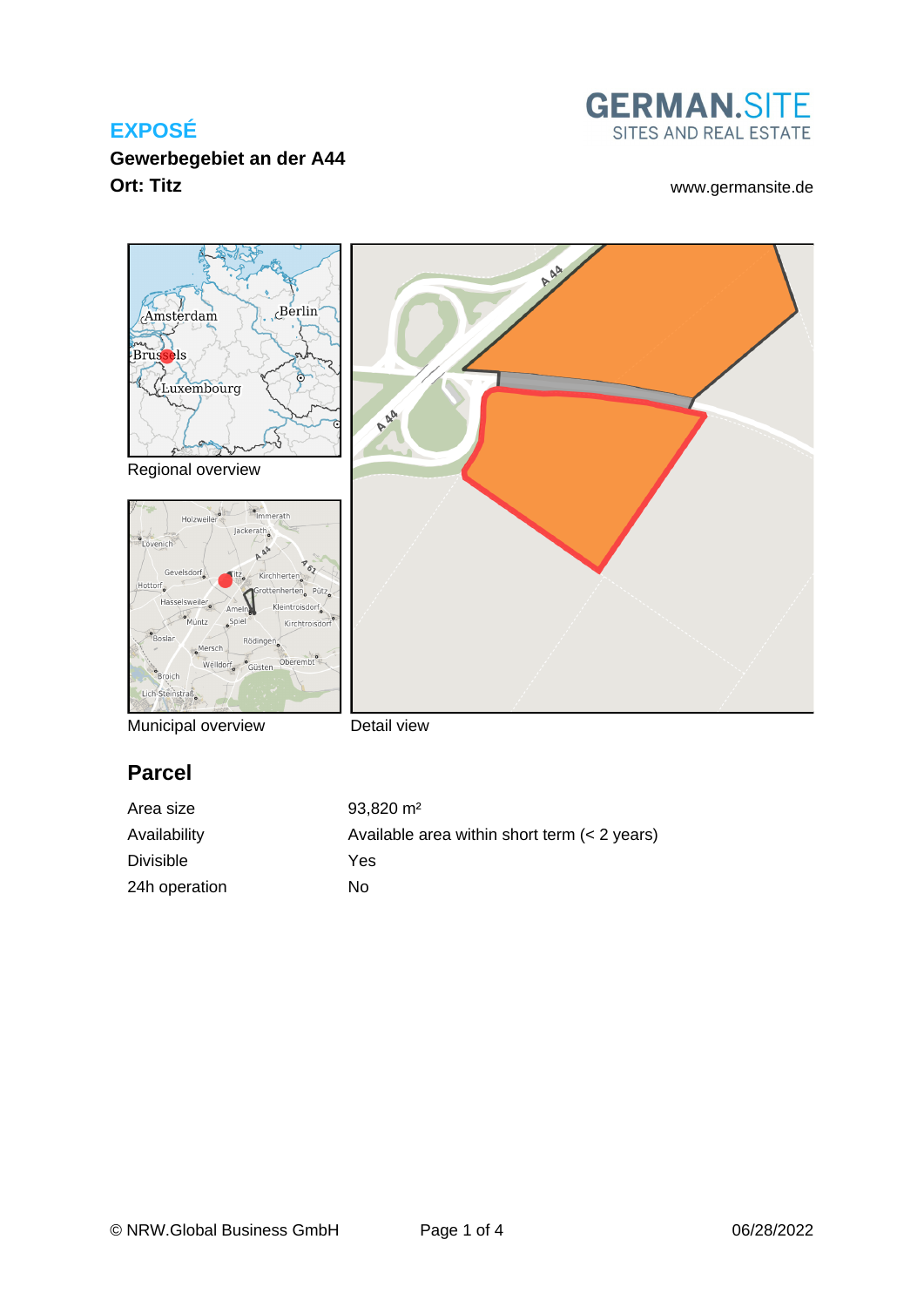**Gewerbegebiet an der A44 Ort: Titz** [www.germansite.de](http://www.germansite.de)





Municipal overview

Detail view

# **Parcel**

| Area size        | $93,820 \text{ m}^2$                         |
|------------------|----------------------------------------------|
| Availability     | Available area within short term (< 2 years) |
| <b>Divisible</b> | Yes                                          |
| 24h operation    | Nο                                           |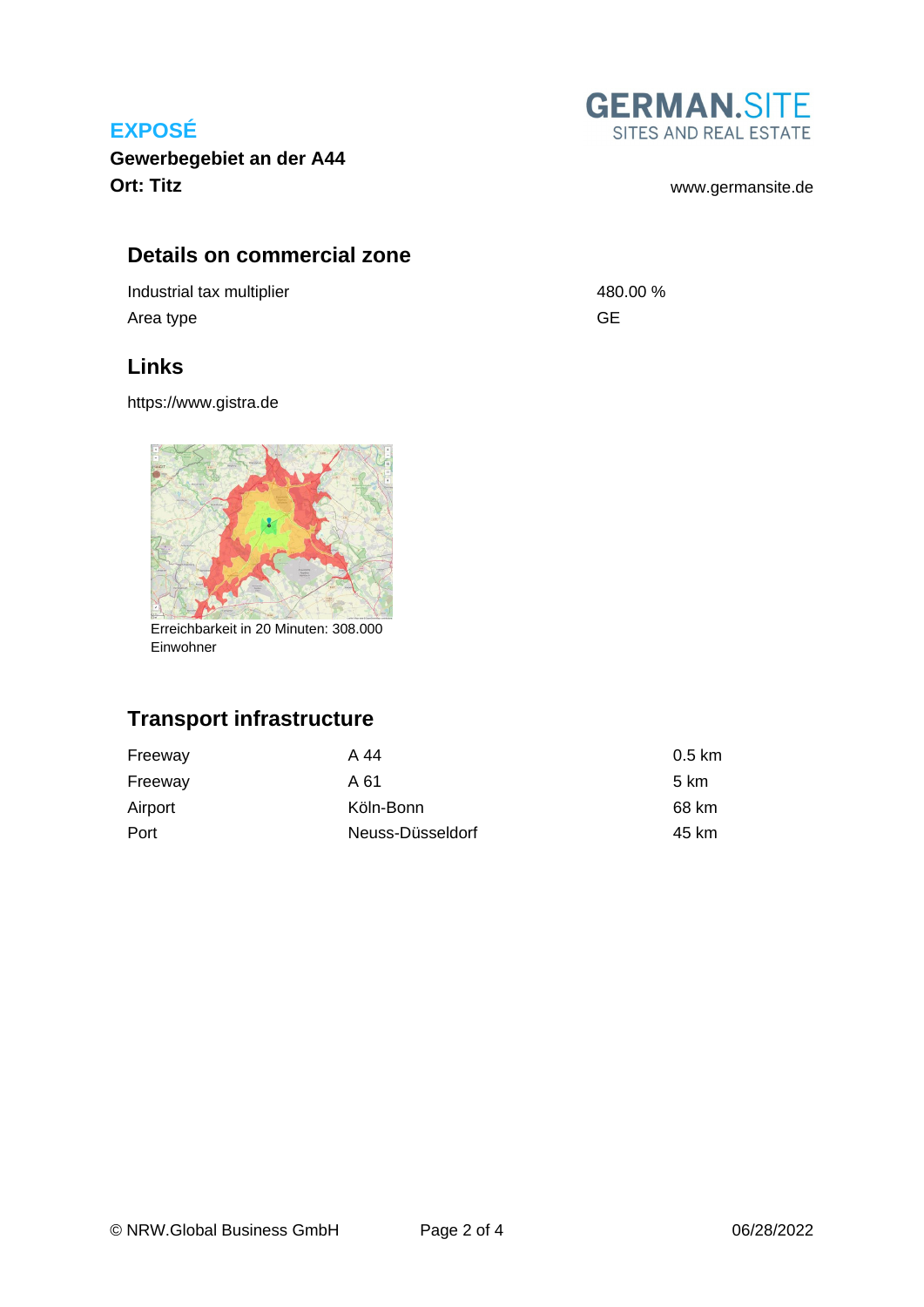**Gewerbegebiet an der A44 Ort: Titz** [www.germansite.de](http://www.germansite.de)

# **Details on commercial zone**

Industrial tax multiplier and the set of the 480.00 % Area type GE

#### **Links**

<https://www.gistra.de>



Erreichbarkeit in 20 Minuten: 308.000 Einwohner

# **Transport infrastructure**

| Freeway | A 44             | $0.5 \text{ km}$ |
|---------|------------------|------------------|
| Freeway | A 61             | 5 km             |
| Airport | Köln-Bonn        | 68 km            |
| Port    | Neuss-Düsseldorf | 45 km            |

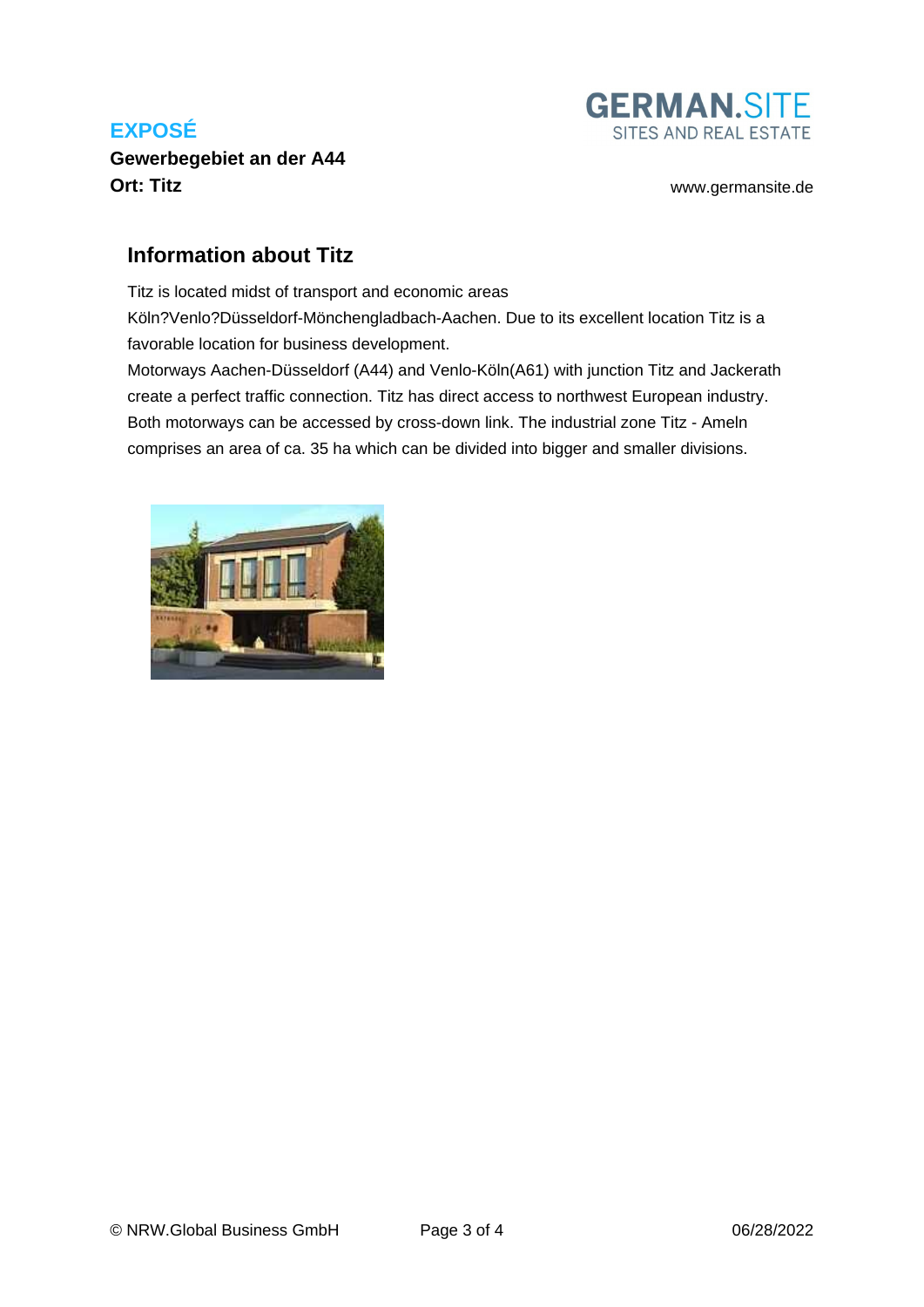**Gewerbegebiet an der A44 Ort: Titz** [www.germansite.de](http://www.germansite.de)



#### **Information about Titz**

Titz is located midst of transport and economic areas Köln?Venlo?Düsseldorf-Mönchengladbach-Aachen. Due to its excellent location Titz is a favorable location for business development.

Motorways Aachen-Düsseldorf (A44) and Venlo-Köln(A61) with junction Titz and Jackerath create a perfect traffic connection. Titz has direct access to northwest European industry. Both motorways can be accessed by cross-down link. The industrial zone Titz - Ameln comprises an area of ca. 35 ha which can be divided into bigger and smaller divisions.